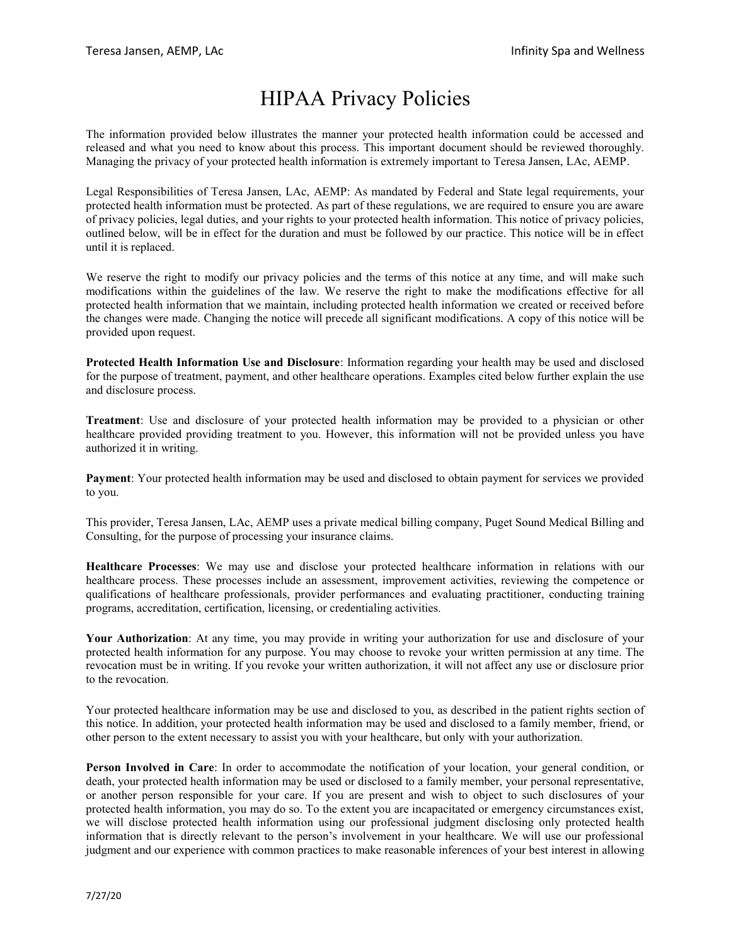## HIPAA Privacy Policies

The information provided below illustrates the manner your protected health information could be accessed and released and what you need to know about this process. This important document should be reviewed thoroughly. Managing the privacy of your protected health information is extremely important to Teresa Jansen, LAc, AEMP.

Legal Responsibilities of Teresa Jansen, LAc, AEMP: As mandated by Federal and State legal requirements, your protected health information must be protected. As part of these regulations, we are required to ensure you are aware of privacy policies, legal duties, and your rights to your protected health information. This notice of privacy policies, outlined below, will be in effect for the duration and must be followed by our practice. This notice will be in effect until it is replaced.

We reserve the right to modify our privacy policies and the terms of this notice at any time, and will make such modifications within the guidelines of the law. We reserve the right to make the modifications effective for all protected health information that we maintain, including protected health information we created or received before the changes were made. Changing the notice will precede all significant modifications. A copy of this notice will be provided upon request.

**Protected Health Information Use and Disclosure**: Information regarding your health may be used and disclosed for the purpose of treatment, payment, and other healthcare operations. Examples cited below further explain the use and disclosure process.

**Treatment**: Use and disclosure of your protected health information may be provided to a physician or other healthcare provided providing treatment to you. However, this information will not be provided unless you have authorized it in writing.

**Payment**: Your protected health information may be used and disclosed to obtain payment for services we provided to you.

This provider, Teresa Jansen, LAc, AEMP uses a private medical billing company, Puget Sound Medical Billing and Consulting, for the purpose of processing your insurance claims.

**Healthcare Processes**: We may use and disclose your protected healthcare information in relations with our healthcare process. These processes include an assessment, improvement activities, reviewing the competence or qualifications of healthcare professionals, provider performances and evaluating practitioner, conducting training programs, accreditation, certification, licensing, or credentialing activities.

**Your Authorization**: At any time, you may provide in writing your authorization for use and disclosure of your protected health information for any purpose. You may choose to revoke your written permission at any time. The revocation must be in writing. If you revoke your written authorization, it will not affect any use or disclosure prior to the revocation.

Your protected healthcare information may be use and disclosed to you, as described in the patient rights section of this notice. In addition, your protected health information may be used and disclosed to a family member, friend, or other person to the extent necessary to assist you with your healthcare, but only with your authorization.

**Person Involved in Care**: In order to accommodate the notification of your location, your general condition, or death, your protected health information may be used or disclosed to a family member, your personal representative, or another person responsible for your care. If you are present and wish to object to such disclosures of your protected health information, you may do so. To the extent you are incapacitated or emergency circumstances exist, we will disclose protected health information using our professional judgment disclosing only protected health information that is directly relevant to the person's involvement in your healthcare. We will use our professional judgment and our experience with common practices to make reasonable inferences of your best interest in allowing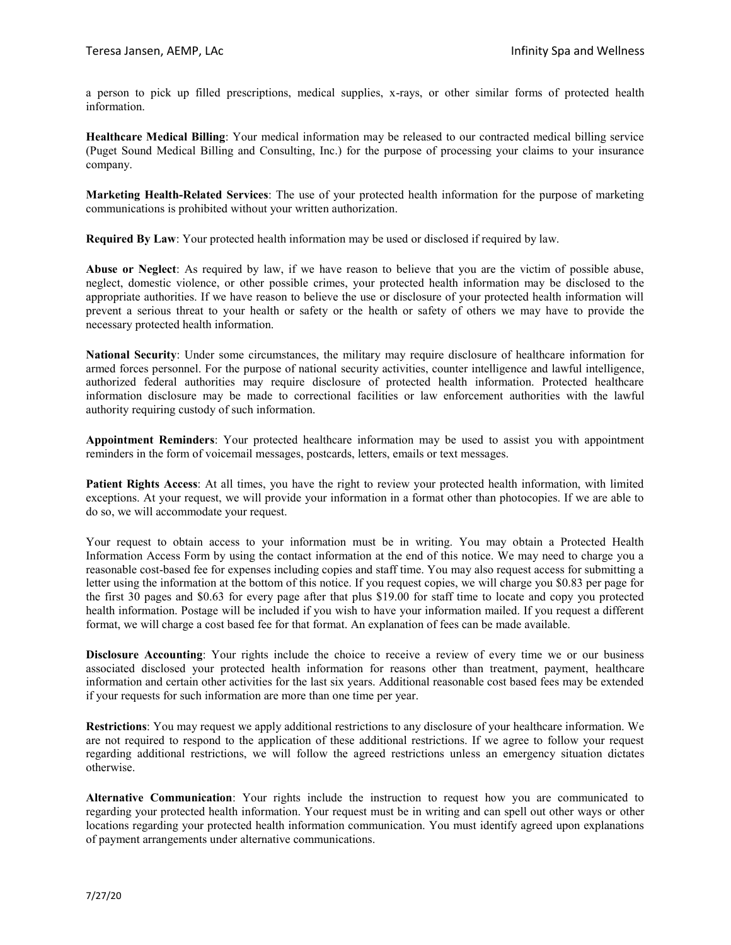a person to pick up filled prescriptions, medical supplies, x-rays, or other similar forms of protected health information.

**Healthcare Medical Billing**: Your medical information may be released to our contracted medical billing service (Puget Sound Medical Billing and Consulting, Inc.) for the purpose of processing your claims to your insurance company.

**Marketing Health-Related Services**: The use of your protected health information for the purpose of marketing communications is prohibited without your written authorization.

**Required By Law**: Your protected health information may be used or disclosed if required by law.

**Abuse or Neglect**: As required by law, if we have reason to believe that you are the victim of possible abuse, neglect, domestic violence, or other possible crimes, your protected health information may be disclosed to the appropriate authorities. If we have reason to believe the use or disclosure of your protected health information will prevent a serious threat to your health or safety or the health or safety of others we may have to provide the necessary protected health information.

**National Security**: Under some circumstances, the military may require disclosure of healthcare information for armed forces personnel. For the purpose of national security activities, counter intelligence and lawful intelligence, authorized federal authorities may require disclosure of protected health information. Protected healthcare information disclosure may be made to correctional facilities or law enforcement authorities with the lawful authority requiring custody of such information.

**Appointment Reminders**: Your protected healthcare information may be used to assist you with appointment reminders in the form of voicemail messages, postcards, letters, emails or text messages.

**Patient Rights Access**: At all times, you have the right to review your protected health information, with limited exceptions. At your request, we will provide your information in a format other than photocopies. If we are able to do so, we will accommodate your request.

Your request to obtain access to your information must be in writing. You may obtain a Protected Health Information Access Form by using the contact information at the end of this notice. We may need to charge you a reasonable cost-based fee for expenses including copies and staff time. You may also request access for submitting a letter using the information at the bottom of this notice. If you request copies, we will charge you \$0.83 per page for the first 30 pages and \$0.63 for every page after that plus \$19.00 for staff time to locate and copy you protected health information. Postage will be included if you wish to have your information mailed. If you request a different format, we will charge a cost based fee for that format. An explanation of fees can be made available.

**Disclosure Accounting**: Your rights include the choice to receive a review of every time we or our business associated disclosed your protected health information for reasons other than treatment, payment, healthcare information and certain other activities for the last six years. Additional reasonable cost based fees may be extended if your requests for such information are more than one time per year.

**Restrictions**: You may request we apply additional restrictions to any disclosure of your healthcare information. We are not required to respond to the application of these additional restrictions. If we agree to follow your request regarding additional restrictions, we will follow the agreed restrictions unless an emergency situation dictates otherwise.

**Alternative Communication**: Your rights include the instruction to request how you are communicated to regarding your protected health information. Your request must be in writing and can spell out other ways or other locations regarding your protected health information communication. You must identify agreed upon explanations of payment arrangements under alternative communications.